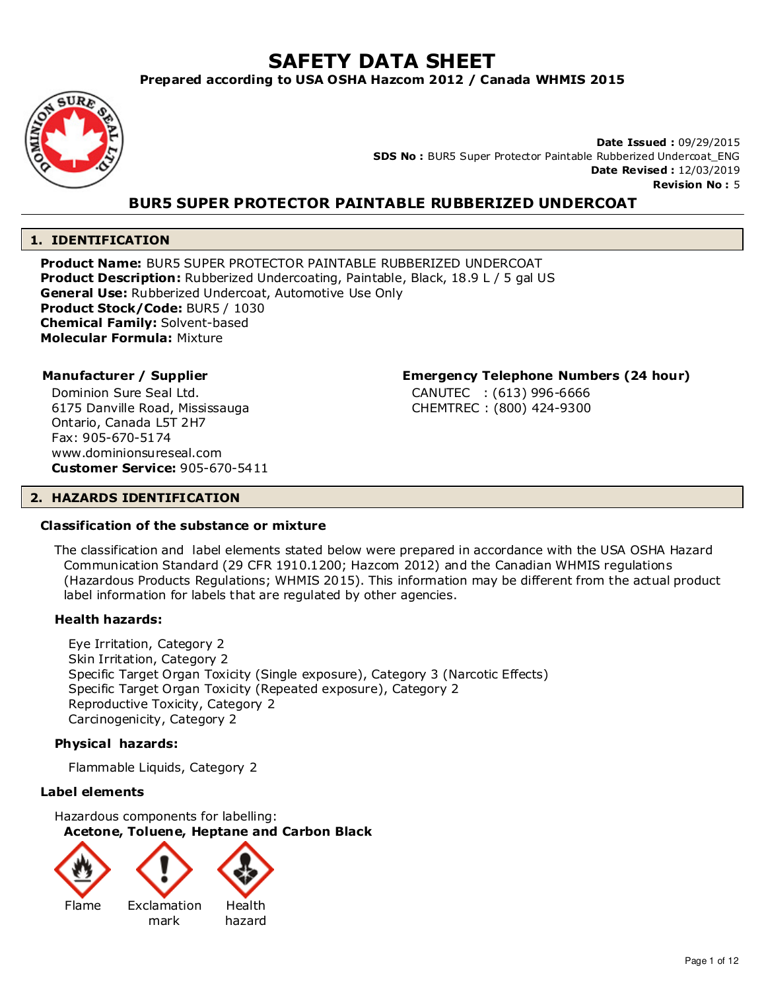# **SAFETY DATA SHEET**

**Prepared according to USA OSHA Hazcom 2012 / Canada WHMIS 2015**



**Date Issued :** 09/29/2015 **SDS No :** BUR5 Super Protector Paintable Rubberized Undercoat\_ENG **Date Revised :** 12/03/2019 **Revision No :** 5

# **BUR5 SUPER PROTECTOR PAINTABLE RUBBERIZED UNDERCOAT**

# **1. IDENTIFICATION**

**Product Name:** BUR5 SUPER PROTECTOR PAINTABLE RUBBERIZED UNDERCOAT **Product Description:** Rubberized Undercoating, Paintable, Black, 18.9 L / 5 gal US **General Use:** Rubberized Undercoat, Automotive Use Only **Product Stock/Code:** BUR5 / 1030 **Chemical Family:** Solvent-based **Molecular Formula:** Mixture

Dominion Sure Seal Ltd. 6175 Danville Road, Mississauga Ontario, Canada L5T 2H7 Fax: 905-670-5174 www.dominionsureseal.com **Customer Service:** 905-670-5411

# **Manufacturer / Supplier Emergency Telephone Numbers (24 hour)**

CANUTEC : (613) 996-6666 CHEMTREC : (800) 424-9300

# **2. HAZARDS IDENTIFICATION**

# **Classification of the substance or mixture**

The classification and label elements stated below were prepared in accordance with the USA OSHA Hazard Communication Standard (29 CFR 1910.1200; Hazcom 2012) and the Canadian WHMIS regulations (Hazardous Products Regulations; WHMIS 2015). This information may be different from the actual product label information for labels that are regulated by other agencies.

# **Health hazards:**

Eye Irritation, Category 2 Skin Irritation, Category 2 Specific Target Organ Toxicity (Single exposure), Category 3 (Narcotic Effects) Specific Target Organ Toxicity (Repeated exposure), Category 2 Reproductive Toxicity, Category 2 Carcinogenicity, Category 2

# **Physical hazards:**

Flammable Liquids, Category 2

# **Label elements**

Hazardous components for labelling: **Acetone, Toluene, Heptane and Carbon Black**





mark

Health hazard

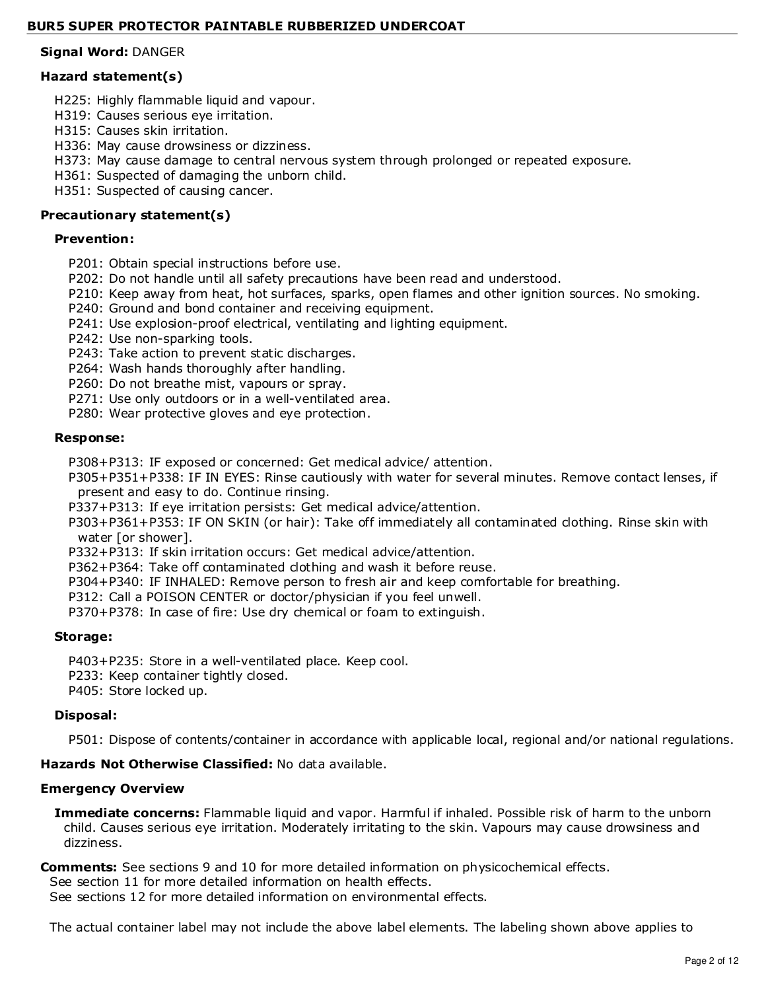# **Signal Word:** DANGER

# **Hazard statement(s)**

- H225: Highly flammable liquid and vapour.
- H319: Causes serious eye irritation.
- H315: Causes skin irritation.
- H336: May cause drowsiness or dizziness.
- H373: May cause damage to central nervous system through prolonged or repeated exposure.
- H361: Suspected of damaging the unborn child.
- H351: Suspected of causing cancer.

# **Precautionary statement(s)**

# **Prevention:**

- P201: Obtain special instructions before use.
- P202: Do not handle until all safety precautions have been read and understood.
- P210: Keep away from heat, hot surfaces, sparks, open flames and other ignition sources. No smoking.
- P240: Ground and bond container and receiving equipment.
- P241: Use explosion-proof electrical, ventilating and lighting equipment.
- P242: Use non-sparking tools.
- P243: Take action to prevent static discharges.
- P264: Wash hands thoroughly after handling.
- P260: Do not breathe mist, vapours or spray.
- P271: Use only outdoors or in a well-ventilated area.
- P280: Wear protective gloves and eye protection.

# **Response:**

P308+P313: IF exposed or concerned: Get medical advice/ attention.

P305+P351+P338: IF IN EYES: Rinse cautiously with water for several minutes. Remove contact lenses, if present and easy to do. Continue rinsing.

P337+P313: If eye irritation persists: Get medical advice/attention.

- P303+P361+P353: IF ON SKIN (or hair): Take off immediately all contaminated clothing. Rinse skin with water [or shower].
- P332+P313: If skin irritation occurs: Get medical advice/attention.
- P362+P364: Take off contaminated clothing and wash it before reuse.
- P304+P340: IF INHALED: Remove person to fresh air and keep comfortable for breathing.
- P312: Call a POISON CENTER or doctor/physician if you feel unwell.
- P370+P378: In case of fire: Use dry chemical or foam to extinguish.

# **Storage:**

P403+P235: Store in a well-ventilated place. Keep cool.

- P233: Keep container tightly closed.
- P405: Store locked up.

# **Disposal:**

P501: Dispose of contents/container in accordance with applicable local, regional and/or national regulations.

# **Hazards Not Otherwise Classified:** No data available.

# **Emergency Overview**

**Immediate concerns:** Flammable liquid and vapor. Harmful if inhaled. Possible risk of harm to the unborn child. Causes serious eye irritation. Moderately irritating to the skin. Vapours may cause drowsiness and dizziness.

# **Comments:** See sections 9 and 10 for more detailed information on physicochemical effects.

See section 11 for more detailed information on health effects.

See sections 12 for more detailed information on environmental effects.

The actual container label may not include the above label elements. The labeling shown above applies to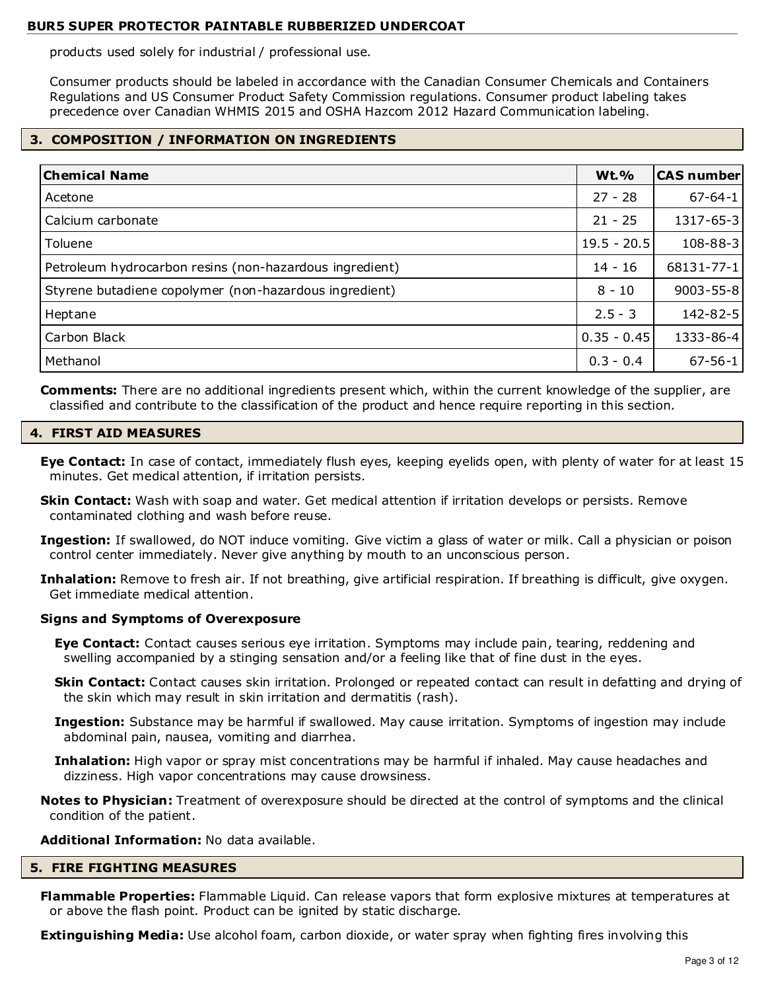products used solely for industrial / professional use.

Consumer products should be labeled in accordance with the Canadian Consumer Chemicals and Containers Regulations and US Consumer Product Safety Commission regulations. Consumer product labeling takes precedence over Canadian WHMIS 2015 and OSHA Hazcom 2012 Hazard Communication labeling.

# **3. COMPOSITION / INFORMATION ON INGREDIENTS**

| <b>Chemical Name</b>                                    | <b>Wt.%</b>   | <b>CAS number</b> |
|---------------------------------------------------------|---------------|-------------------|
| Acetone                                                 | $27 - 28$     | $67 - 64 - 1$     |
| Calcium carbonate                                       | $21 - 25$     | 1317-65-3         |
| Toluene                                                 | $19.5 - 20.5$ | 108-88-3          |
| Petroleum hydrocarbon resins (non-hazardous ingredient) | $14 - 16$     | 68131-77-1        |
| Styrene butadiene copolymer (non-hazardous ingredient)  | $8 - 10$      | $9003 - 55 - 8$   |
| Heptane                                                 | $2.5 - 3$     | 142-82-5          |
| Carbon Black                                            | $0.35 - 0.45$ | 1333-86-4         |
| Methanol                                                | $0.3 - 0.4$   | $67 - 56 - 1$     |

**Comments:** There are no additional ingredients present which, within the current knowledge of the supplier, are classified and contribute to the classification of the product and hence require reporting in this section.

# **4. FIRST AID MEASURES**

- **Eye Contact:** In case of contact, immediately flush eyes, keeping eyelids open, with plenty of water for at least 15 minutes. Get medical attention, if irritation persists.
- **Skin Contact:** Wash with soap and water. Get medical attention if irritation develops or persists. Remove contaminated clothing and wash before reuse.
- **Ingestion:** If swallowed, do NOT induce vomiting. Give victim a glass of water or milk. Call a physician or poison control center immediately. Never give anything by mouth to an unconscious person.
- **Inhalation:** Remove to fresh air. If not breathing, give artificial respiration. If breathing is difficult, give oxygen. Get immediate medical attention.

# **Signs and Symptoms of Overexposure**

- **Eye Contact:** Contact causes serious eye irritation. Symptoms may include pain, tearing, reddening and swelling accompanied by a stinging sensation and/or a feeling like that of fine dust in the eyes.
- **Skin Contact:** Contact causes skin irritation. Prolonged or repeated contact can result in defatting and drying of the skin which may result in skin irritation and dermatitis (rash).
- **Ingestion:** Substance may be harmful if swallowed. May cause irritation. Symptoms of ingestion may include abdominal pain, nausea, vomiting and diarrhea.
- **Inhalation:** High vapor or spray mist concentrations may be harmful if inhaled. May cause headaches and dizziness. High vapor concentrations may cause drowsiness.
- **Notes to Physician:** Treatment of overexposure should be directed at the control of symptoms and the clinical condition of the patient.

# **Additional Information:** No data available.

# **5. FIRE FIGHTING MEASURES**

**Flammable Properties:** Flammable Liquid. Can release vapors that form explosive mixtures at temperatures at or above the flash point. Product can be ignited by static discharge.

**Extinguishing Media:** Use alcohol foam, carbon dioxide, or water spray when fighting fires involving this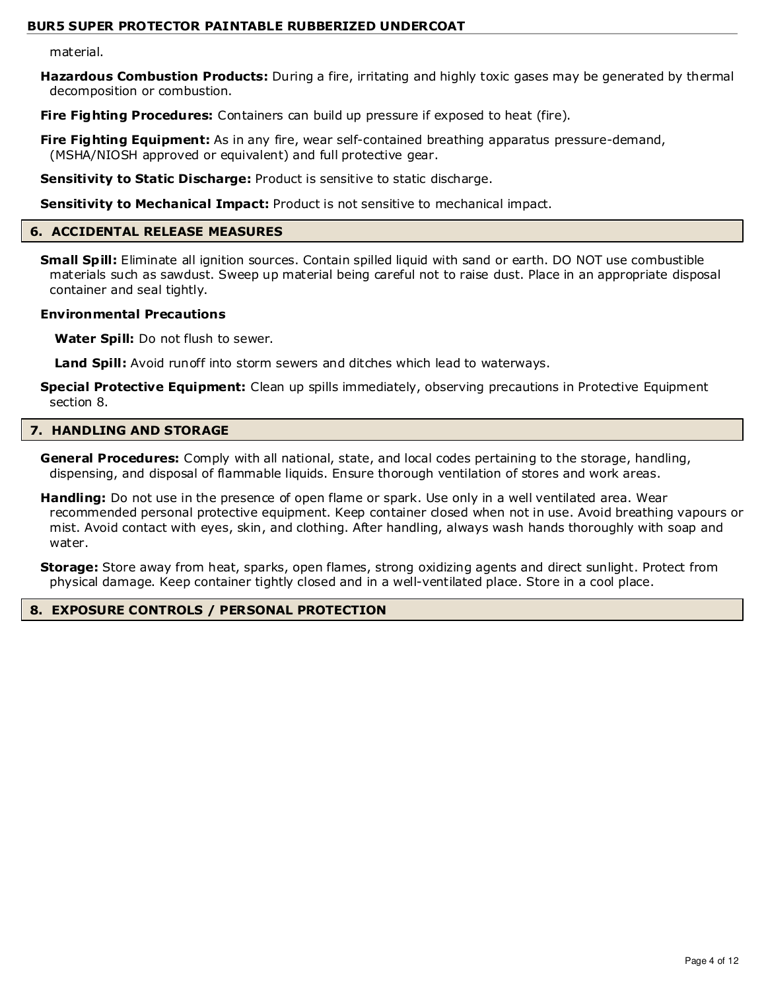material.

**Hazardous Combustion Products:** During a fire, irritating and highly toxic gases may be generated by thermal decomposition or combustion.

**Fire Fighting Procedures:** Containers can build up pressure if exposed to heat (fire).

**Fire Fighting Equipment:** As in any fire, wear self-contained breathing apparatus pressure-demand, (MSHA/NIOSH approved or equivalent) and full protective gear.

**Sensitivity to Static Discharge:** Product is sensitive to static discharge.

**Sensitivity to Mechanical Impact:** Product is not sensitive to mechanical impact.

#### **6. ACCIDENTAL RELEASE MEASURES**

**Small Spill:** Eliminate all ignition sources. Contain spilled liquid with sand or earth. DO NOT use combustible materials such as sawdust. Sweep up material being careful not to raise dust. Place in an appropriate disposal container and seal tightly.

#### **Environmental Precautions**

**Water Spill:** Do not flush to sewer.

**Land Spill:** Avoid runoff into storm sewers and ditches which lead to waterways.

**Special Protective Equipment:** Clean up spills immediately, observing precautions in Protective Equipment section 8.

# **7. HANDLING AND STORAGE**

**General Procedures:** Comply with all national, state, and local codes pertaining to the storage, handling, dispensing, and disposal of flammable liquids. Ensure thorough ventilation of stores and work areas.

**Handling:** Do not use in the presence of open flame or spark. Use only in a well ventilated area. Wear recommended personal protective equipment. Keep container closed when not in use. Avoid breathing vapours or mist. Avoid contact with eyes, skin, and clothing. After handling, always wash hands thoroughly with soap and water.

**Storage:** Store away from heat, sparks, open flames, strong oxidizing agents and direct sunlight. Protect from physical damage. Keep container tightly closed and in a well-ventilated place. Store in a cool place.

# **8. EXPOSURE CONTROLS / PERSONAL PROTECTION**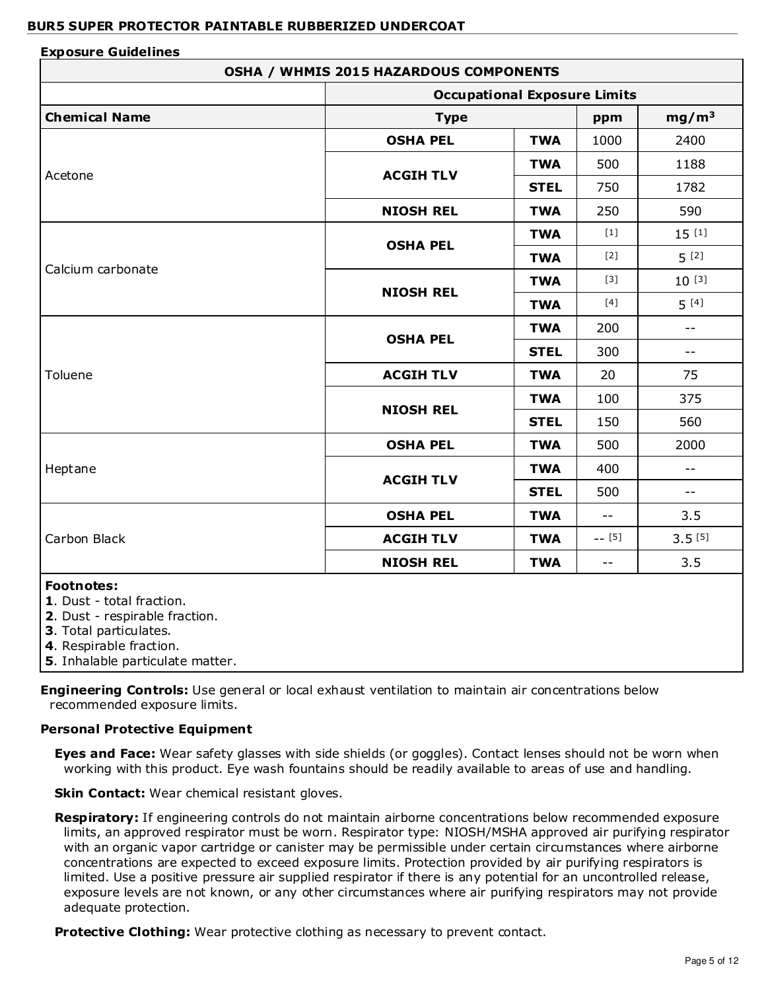#### **Exposure Guidelines OSHA / WHMIS 2015 HAZARDOUS COMPONENTS Occupational Exposure Limits Chemical Name Chemical Name Propose the Chemical Name Propose in the Type Propose in the mg/m<sup>3</sup>** Acetone **OSHA PEL | TWA | 1000 | 2400 ACGIH TLV TWA** | 500 | 1188 **STEL** 750 1782 **NIOSH REL | TWA | 250 | 590** Calcium carbonate **OSHA PEL TWA**  $[1]$  15  $[1]$ **TWA**  $[2]$   $\begin{bmatrix} 5 \\ 2 \end{bmatrix}$ **NIOSH REL TWA**  $[3]$  10  $[3]$ **TWA**  $[4]$   $[5]$   $[4]$ Toluene **OSHA PEL TWA** 200 -- **STEL** 300 --**ACGIH TLV**  $\begin{array}{|c|c|c|c|c|} \hline \textbf{1} & \textbf{20} & \textbf{1} & \textbf{25} \ \hline \end{array}$ **NIOSH REL TWA** 100 375 **STEL** 150 560 Heptane **OSHA PEL**  $\vert$  **TWA**  $\vert$  500  $\vert$  2000 **ACGIH TLV TWA** 400 --**STEL** 500 --Carbon Black **OSHA PEL | TWA | -- | 3.5 ACGIH TLV TWA** -- [5] 3.5 [5] **NIOSH REL TWA** -- 3.5 **Footnotes: 1**. Dust - total fraction. **2**. Dust - respirable fraction. **3**. Total particulates. **4**. Respirable fraction.

**5**. Inhalable particulate matter.

**Engineering Controls:** Use general or local exhaust ventilation to maintain air concentrations below recommended exposure limits.

# **Personal Protective Equipment**

**Eyes and Face:** Wear safety glasses with side shields (or goggles). Contact lenses should not be worn when working with this product. Eye wash fountains should be readily available to areas of use and handling.

**Skin Contact:** Wear chemical resistant gloves.

**Respiratory:** If engineering controls do not maintain airborne concentrations below recommended exposure limits, an approved respirator must be worn. Respirator type: NIOSH/MSHA approved air purifying respirator with an organic vapor cartridge or canister may be permissible under certain circumstances where airborne concentrations are expected to exceed exposure limits. Protection provided by air purifying respirators is limited. Use a positive pressure air supplied respirator if there is any potential for an uncontrolled release, exposure levels are not known, or any other circumstances where air purifying respirators may not provide adequate protection.

**Protective Clothing:** Wear protective clothing as necessary to prevent contact.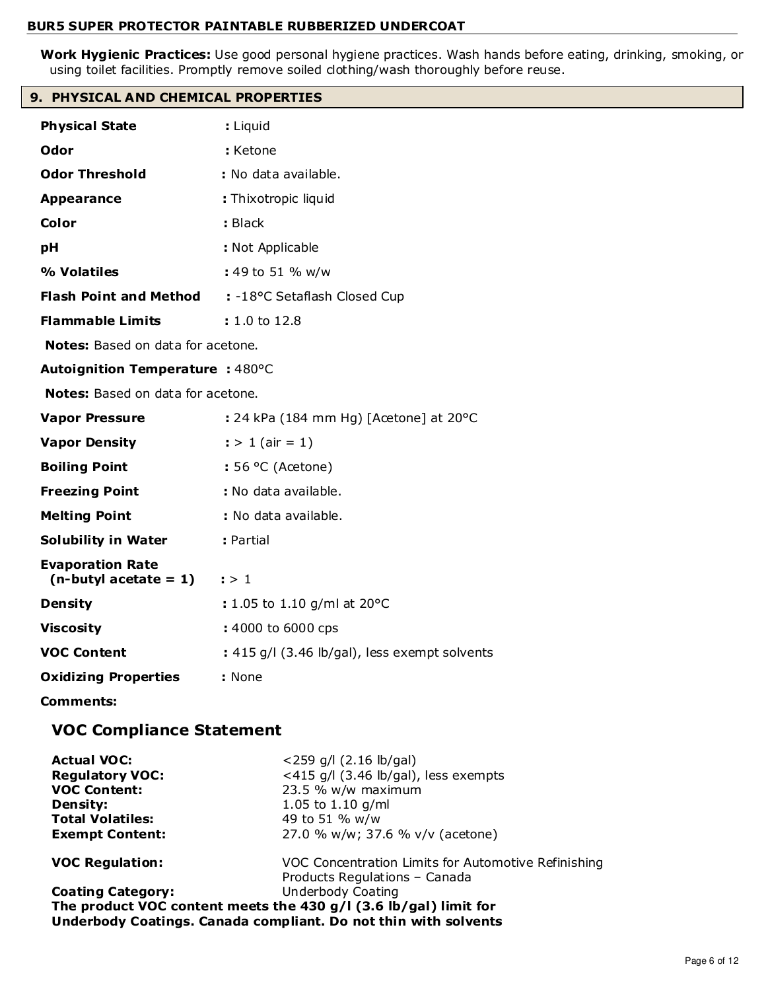**Work Hygienic Practices:** Use good personal hygiene practices. Wash hands before eating, drinking, smoking, or using toilet facilities. Promptly remove soiled clothing/wash thoroughly before reuse.

# **9. PHYSICAL AND CHEMICAL PROPERTIES**

| <b>Physical State</b>                               | : Liquid                                         |
|-----------------------------------------------------|--------------------------------------------------|
| Odor                                                | : Ketone                                         |
| <b>Odor Threshold</b>                               | : No data available.                             |
| <b>Appearance</b>                                   | : Thixotropic liquid                             |
| Color                                               | : Black                                          |
| pH                                                  | : Not Applicable                                 |
| % Volatiles                                         | : 49 to 51 % w/w                                 |
| <b>Flash Point and Method</b>                       | : -18°C Setaflash Closed Cup                     |
| <b>Flammable Limits</b>                             | : 1.0 to 12.8                                    |
| Notes: Based on data for acetone.                   |                                                  |
| Autoignition Temperature : 480°C                    |                                                  |
| Notes: Based on data for acetone.                   |                                                  |
| <b>Vapor Pressure</b>                               | : 24 kPa (184 mm Hg) [Acetone] at $20^{\circ}$ C |
| <b>Vapor Density</b>                                | $:$ > 1 (air = 1)                                |
| <b>Boiling Point</b>                                | $: 56 °C$ (Acetone)                              |
| <b>Freezing Point</b>                               | : No data available.                             |
| <b>Melting Point</b>                                | : No data available.                             |
| <b>Solubility in Water</b>                          | : Partial                                        |
| <b>Evaporation Rate</b><br>$(n$ -butyl acetate = 1) | : > 1                                            |
| <b>Density</b>                                      | : 1.05 to 1.10 g/ml at 20°C                      |
| <b>Viscosity</b>                                    | : 4000 to 6000 cps                               |
| <b>VOC Content</b>                                  | : 415 g/l (3.46 lb/gal), less exempt solvents    |
| <b>Oxidizing Properties</b>                         | : None                                           |
| <b>Comments:</b>                                    |                                                  |
| <b>VOC Compliance Statement</b>                     |                                                  |
| $Aright = 1 V0C1$                                   | $2250$ all (2.16 lb/ash)                         |

| $\le$ 259 g/l (2.16 lb/gal)                                        |
|--------------------------------------------------------------------|
| <415 g/l $(3.46 \text{ lb/gal})$ , less exempts                    |
| 23.5 % w/w maximum                                                 |
| 1.05 to 1.10 $q/ml$                                                |
| 49 to 51 % w/w                                                     |
| 27.0 % w/w; 37.6 % v/v (acetone)                                   |
| VOC Concentration Limits for Automotive Refinishing                |
| Products Regulations - Canada                                      |
| Underbody Coating                                                  |
| The product VOC content meets the 430 $g/I$ (3.6 lb/gal) limit for |
| Underbody Coatings. Canada compliant. Do not thin with solvents    |
|                                                                    |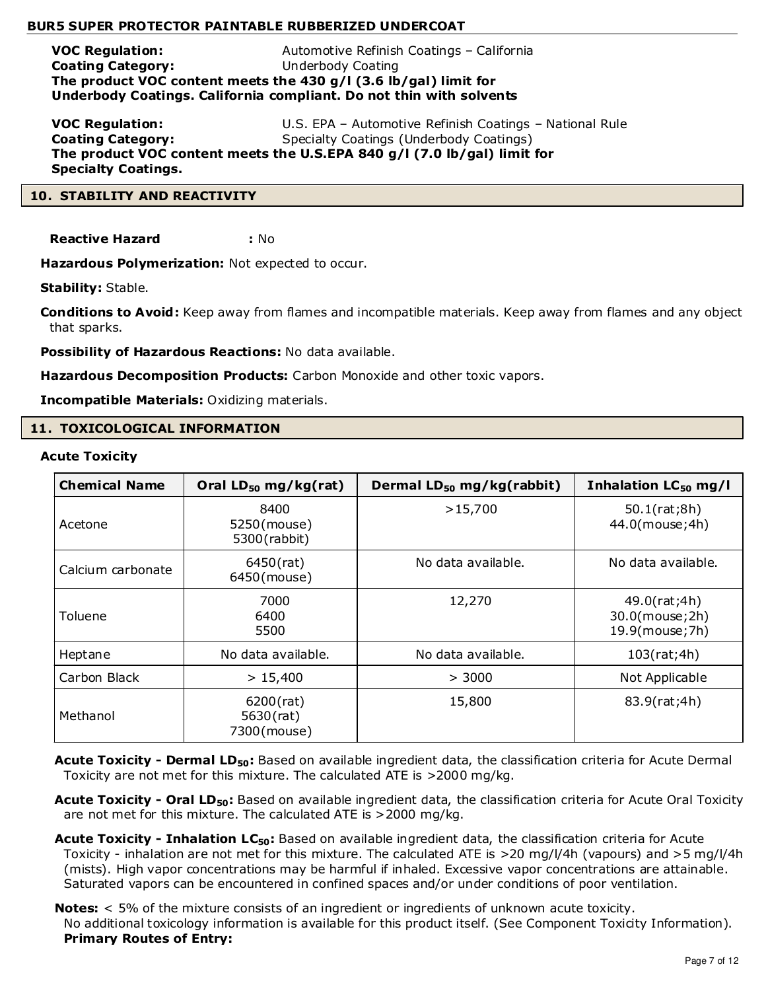**VOC Regulation:** Automotive Refinish Coatings – California **Coating Category:** Underbody Coating **The product VOC content meets the 430 g/l (3.6 lb/gal) limit for Underbody Coatings. California compliant. Do not thin with solvents**

**VOC Regulation:** U.S. EPA – Automotive Refinish Coatings – National Rule **Coating Category:** Specialty Coatings (Underbody Coatings) **The product VOC content meets the U.S.EPA 840 g/l (7.0 lb/gal) limit for Specialty Coatings.**

# **10. STABILITY AND REACTIVITY**

**Reactive Hazard :** No

**Hazardous Polymerization:** Not expected to occur.

**Stability:** Stable.

**Conditions to Avoid:** Keep away from flames and incompatible materials. Keep away from flames and any object that sparks.

**Possibility of Hazardous Reactions:** No data available.

**Hazardous Decomposition Products:** Carbon Monoxide and other toxic vapors.

**Incompatible Materials:** Oxidizing materials.

# **11. TOXICOLOGICAL INFORMATION**

#### **Acute Toxicity**

| <b>Chemical Name</b> | Oral $LD_{50}$ mg/kg(rat)                | Dermal LD <sub>50</sub> mg/kg(rabbit) | Inhalation $LC_{50}$ mg/l                          |
|----------------------|------------------------------------------|---------------------------------------|----------------------------------------------------|
| Acetone              | 8400<br>5250(mouse)<br>5300 (rabbit)     | >15,700                               | 50.1(rat;8h)<br>44.0(mouse; 4h)                    |
| Calcium carbonate    | 6450(rat)<br>6450(mouse)                 | No data available.                    | No data available.                                 |
| Toluene              | 7000<br>6400<br>5500                     | 12,270                                | 49.0(rat;4h)<br>30.0(mouse; 2h)<br>19.9(mouse; 7h) |
| Heptane              | No data available.                       | No data available.                    | 103(rat;4h)                                        |
| Carbon Black         | > 15,400                                 | > 3000                                | Not Applicable                                     |
| Methanol             | $6200$ (rat)<br>5630(rat)<br>7300(mouse) | 15,800                                | 83.9(rat;4h)                                       |

Acute Toxicity - Dermal LD<sub>50</sub>: Based on available ingredient data, the classification criteria for Acute Dermal Toxicity are not met for this mixture. The calculated ATE is >2000 mg/kg.

**Acute Toxicity - Oral LD50:** Based on available ingredient data, the classification criteria for Acute Oral Toxicity are not met for this mixture. The calculated ATE is >2000 mg/kg.

**Acute Toxicity - Inhalation LC50:** Based on available ingredient data, the classification criteria for Acute Toxicity - inhalation are not met for this mixture. The calculated ATE is >20 mg/l/4h (vapours) and >5 mg/l/4h (mists). High vapor concentrations may be harmful if inhaled. Excessive vapor concentrations are attainable. Saturated vapors can be encountered in confined spaces and/or under conditions of poor ventilation.

**Notes:** < 5% of the mixture consists of an ingredient or ingredients of unknown acute toxicity. No additional toxicology information is available for this product itself. (See Component Toxicity Information). **Primary Routes of Entry:**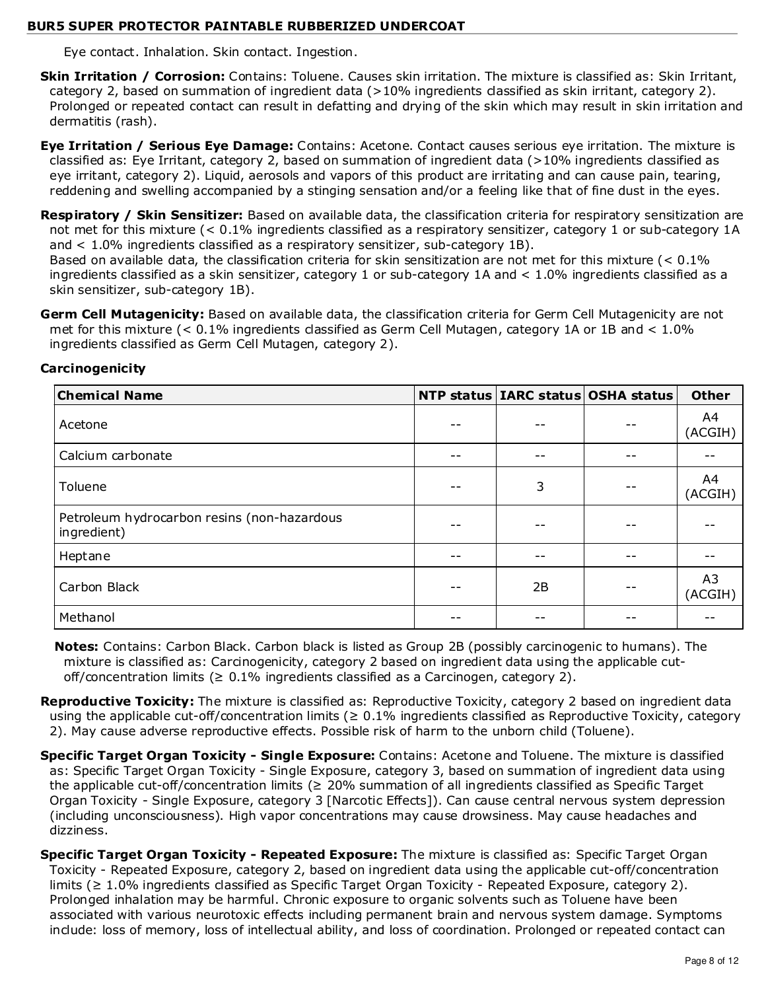Eye contact. Inhalation. Skin contact. Ingestion.

- **Skin Irritation / Corrosion:** Contains: Toluene. Causes skin irritation. The mixture is classified as: Skin Irritant, category 2, based on summation of ingredient data (>10% ingredients classified as skin irritant, category 2). Prolonged or repeated contact can result in defatting and drying of the skin which may result in skin irritation and dermatitis (rash).
- **Eye Irritation / Serious Eye Damage:** Contains: Acetone. Contact causes serious eye irritation. The mixture is classified as: Eye Irritant, category 2, based on summation of ingredient data (>10% ingredients classified as eye irritant, category 2). Liquid, aerosols and vapors of this product are irritating and can cause pain, tearing, reddening and swelling accompanied by a stinging sensation and/or a feeling like that of fine dust in the eyes.
- **Respiratory / Skin Sensitizer:** Based on available data, the classification criteria for respiratory sensitization are not met for this mixture (< 0.1% ingredients classified as a respiratory sensitizer, category 1 or sub-category 1A and < 1.0% ingredients classified as a respiratory sensitizer, sub-category 1B).

Based on available data, the classification criteria for skin sensitization are not met for this mixture (< 0.1% ingredients classified as a skin sensitizer, category 1 or sub-category 1A and < 1.0% ingredients classified as a skin sensitizer, sub-category 1B).

**Germ Cell Mutagenicity:** Based on available data, the classification criteria for Germ Cell Mutagenicity are not met for this mixture (< 0.1% ingredients classified as Germ Cell Mutagen, category 1A or 1B and < 1.0% ingredients classified as Germ Cell Mutagen, category 2).

| <b>Chemical Name</b>                                       |      | NTP status   IARC status   OSHA status | <b>Other</b>  |
|------------------------------------------------------------|------|----------------------------------------|---------------|
| Acetone                                                    |      |                                        | A4<br>(ACGIH) |
| Calcium carbonate                                          | $ -$ |                                        |               |
| Toluene                                                    | 3    |                                        | A4<br>(ACGIH) |
| Petroleum hydrocarbon resins (non-hazardous<br>ingredient) | $ -$ |                                        |               |
| Heptane                                                    |      |                                        |               |
| Carbon Black                                               | 2B   |                                        | A3<br>(ACGIH) |
| Methanol                                                   |      |                                        |               |

# **Carcinogenicity**

**Notes:** Contains: Carbon Black. Carbon black is listed as Group 2B (possibly carcinogenic to humans). The mixture is classified as: Carcinogenicity, category 2 based on ingredient data using the applicable cutoff/concentration limits ( $\geq 0.1\%$  ingredients classified as a Carcinogen, category 2).

Reproductive Toxicity: The mixture is classified as: Reproductive Toxicity, category 2 based on ingredient data using the applicable cut-off/concentration limits ( $\geq 0.1\%$  ingredients classified as Reproductive Toxicity, category 2). May cause adverse reproductive effects. Possible risk of harm to the unborn child (Toluene).

- **Specific Target Organ Toxicity Single Exposure:** Contains: Acetone and Toluene. The mixture is classified as: Specific Target Organ Toxicity - Single Exposure, category 3, based on summation of ingredient data using the applicable cut-off/concentration limits ( $\geq$  20% summation of all ingredients classified as Specific Target Organ Toxicity - Single Exposure, category 3 [Narcotic Effects]). Can cause central nervous system depression (including unconsciousness). High vapor concentrations may cause drowsiness. May cause headaches and dizziness.
- **Specific Target Organ Toxicity Repeated Exposure:** The mixture is classified as: Specific Target Organ Toxicity - Repeated Exposure, category 2, based on ingredient data using the applicable cut-off/concentration limits (≥ 1.0% ingredients classified as Specific Target Organ Toxicity - Repeated Exposure, category 2). Prolonged inhalation may be harmful. Chronic exposure to organic solvents such as Toluene have been associated with various neurotoxic effects including permanent brain and nervous system damage. Symptoms include: loss of memory, loss of intellectual ability, and loss of coordination. Prolonged or repeated contact can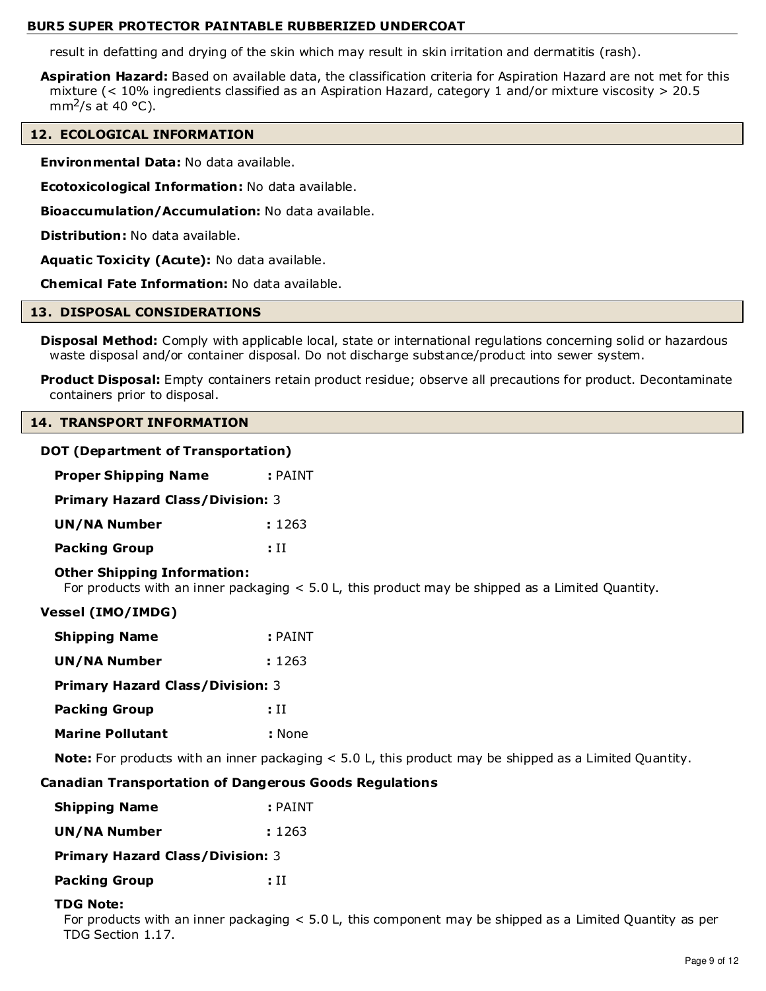result in defatting and drying of the skin which may result in skin irritation and dermatitis (rash).

**Aspiration Hazard:** Based on available data, the classification criteria for Aspiration Hazard are not met for this mixture (< 10% ingredients classified as an Aspiration Hazard, category 1 and/or mixture viscosity > 20.5 mm<sup>2</sup>/s at 40 °C).

# **12. ECOLOGICAL INFORMATION**

**Environmental Data:** No data available.

**Ecotoxicological Information:** No data available.

**Bioaccumulation/Accumulation:** No data available.

**Distribution:** No data available.

**Aquatic Toxicity (Acute):** No data available.

**Chemical Fate Information:** No data available.

#### **13. DISPOSAL CONSIDERATIONS**

**Disposal Method:** Comply with applicable local, state or international regulations concerning solid or hazardous waste disposal and/or container disposal. Do not discharge substance/product into sewer system.

**Product Disposal:** Empty containers retain product residue; observe all precautions for product. Decontaminate containers prior to disposal.

#### **14. TRANSPORT INFORMATION**

# **DOT (Department of Transportation)**

| <b>Proper Shipping Name</b>             | $:$ PAINT |  |  |
|-----------------------------------------|-----------|--|--|
| <b>Primary Hazard Class/Division: 3</b> |           |  |  |
| <b>UN/NA Number</b>                     | : 1263    |  |  |
| <b>Packing Group</b>                    | : H       |  |  |

# **Other Shipping Information:**

For products with an inner packaging < 5.0 L, this product may be shipped as a Limited Quantity.

# **Vessel (IMO/IMDG)**

| <b>Shipping Name</b>                    | : PAINT |  |  |  |
|-----------------------------------------|---------|--|--|--|
| UN/NA Number                            | : 1263  |  |  |  |
| <b>Primary Hazard Class/Division: 3</b> |         |  |  |  |
| <b>Packing Group</b>                    | : H     |  |  |  |
| <b>Marine Pollutant</b>                 | : None  |  |  |  |

**Note:** For products with an inner packaging < 5.0 L, this product may be shipped as a Limited Quantity.

# **Canadian Transportation of Dangerous Goods Regulations**

| <b>Shipping Name</b> | $:$ PAINT |
|----------------------|-----------|
|                      |           |

| UN/NA Number | : 1263 |
|--------------|--------|
|              |        |

**Primary Hazard Class/Division:** 3

**Packing Group : II** 

# **TDG Note:**

For products with an inner packaging < 5.0 L, this component may be shipped as a Limited Quantity as per TDG Section 1.17.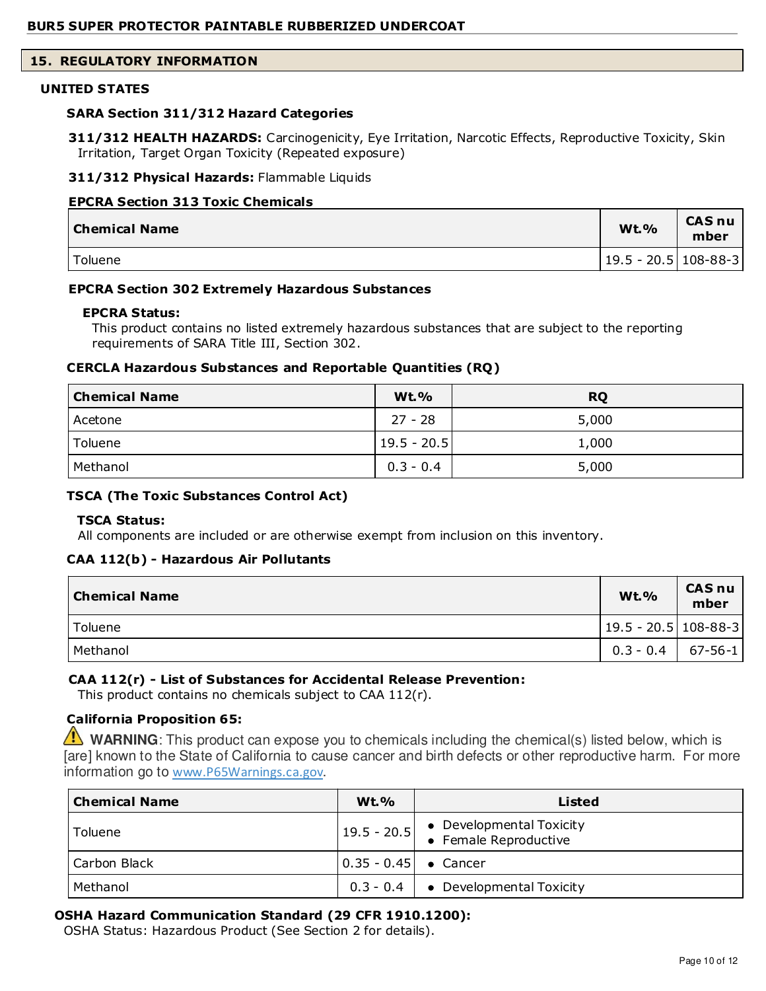# **15. REGULATORY INFORMATION**

#### **UNITED STATES**

#### **SARA Section 311/312 Hazard Categories**

**311/312 HEALTH HAZARDS:** Carcinogenicity, Eye Irritation, Narcotic Effects, Reproductive Toxicity, Skin Irritation, Target Organ Toxicity (Repeated exposure)

#### **311/312 Physical Hazards:** Flammable Liquids

#### **EPCRA Section 313 Toxic Chemicals**

| Chemical Name | <b>Wt.%</b>           | <b>CAS nu</b><br>mber |
|---------------|-----------------------|-----------------------|
| Toluene       | 19.5 - 20.5  108-88-3 |                       |

#### **EPCRA Section 302 Extremely Hazardous Substances**

#### **EPCRA Status:**

This product contains no listed extremely hazardous substances that are subject to the reporting requirements of SARA Title III, Section 302.

#### **CERCLA Hazardous Substances and Reportable Quantities (RQ)**

| <b>Chemical Name</b> | <b>Wt.%</b>     | <b>RQ</b> |
|----------------------|-----------------|-----------|
| Acetone              | $27 - 28$       | 5,000     |
| Toluene              | $ 19.5 - 20.5 $ | 1,000     |
| Methanol             | $0.3 - 0.4$     | 5,000     |

#### **TSCA (The Toxic Substances Control Act)**

#### **TSCA Status:**

All components are included or are otherwise exempt from inclusion on this inventory.

#### **CAA 112(b) - Hazardous Air Pollutants**

| <b>Chemical Name</b> | <b>Wt.%</b>              | <b>CAS nu</b><br>mber |
|----------------------|--------------------------|-----------------------|
| Toluene              | $ 19.5 - 20.5 108-88-3 $ |                       |
| Methanol             | $0.3 - 0.4$   67-56-1    |                       |

# **CAA 112(r) - List of Substances for Accidental Release Prevention:**

This product contains no chemicals subject to CAA 112(r).

# **California Proposition 65:**

**WARNING**: This product can expose you to chemicals including the chemical(s) listed below, which is [are] known to the State of California to cause cancer and birth defects or other reproductive harm. For more information go to www.P65Warnings.ca.gov.

| <b>Chemical Name</b> | $Wt.$ %                                              | Listed                                                                         |
|----------------------|------------------------------------------------------|--------------------------------------------------------------------------------|
| Toluene              |                                                      | $\left  19.5 - 20.5 \right $ • Developmental Toxicity<br>• Female Reproductive |
| Carbon Black         | $\begin{bmatrix} 0.35 - 0.45 \end{bmatrix}$ • Cancer |                                                                                |
| Methanol             |                                                      | $0.3 - 0.4$ $\bullet$ Developmental Toxicity                                   |

# **OSHA Hazard Communication Standard (29 CFR 1910.1200):**

OSHA Status: Hazardous Product (See Section 2 for details).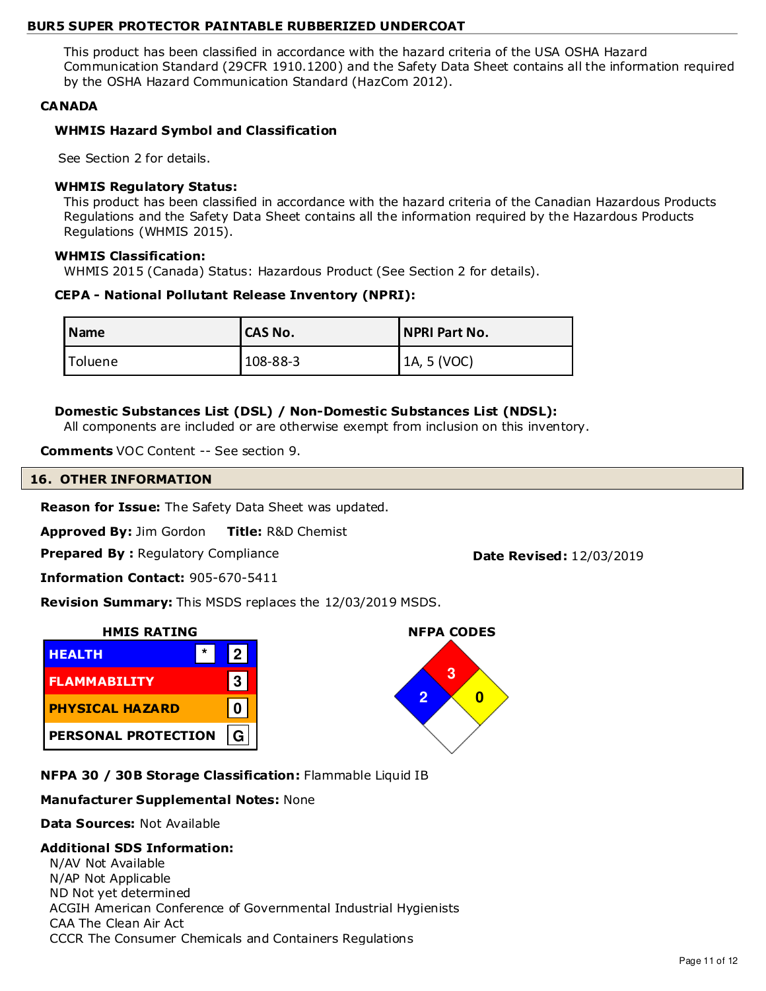This product has been classified in accordance with the hazard criteria of the USA OSHA Hazard Communication Standard (29CFR 1910.1200) and the Safety Data Sheet contains all the information required by the OSHA Hazard Communication Standard (HazCom 2012).

# **CANADA**

# **WHMIS Hazard Symbol and Classification**

See Section 2 for details.

# **WHMIS Regulatory Status:**

This product has been classified in accordance with the hazard criteria of the Canadian Hazardous Products Regulations and the Safety Data Sheet contains all the information required by the Hazardous Products Regulations (WHMIS 2015).

# **WHMIS Classification:**

WHMIS 2015 (Canada) Status: Hazardous Product (See Section 2 for details).

# **CEPA - National Pollutant Release Inventory (NPRI):**

| l Name  | <b>ICAS No.</b> | NPRI Part No. |
|---------|-----------------|---------------|
| Toluene | $108 - 88 - 3$  | 1A, 5 (VOC)   |

# **Domestic Substances List (DSL) / Non-Domestic Substances List (NDSL):**

All components are included or are otherwise exempt from inclusion on this inventory.

**Comments** VOC Content -- See section 9.

# **16. OTHER INFORMATION**

**Reason for Issue:** The Safety Data Sheet was updated.

**Approved By:** Jim Gordon **Title:** R&D Chemist

**Prepared By: Regulatory Compliance <b>Date Revised:** 12/03/2019

**NFPA CODES**

**3 2 0**

**Information Contact:** 905-670-5411

**Revision Summary:** This MSDS replaces the 12/03/2019 MSDS.



**NFPA 30 / 30B Storage Classification:** Flammable Liquid IB

# **Manufacturer Supplemental Notes:** None

**Data Sources:** Not Available

# **Additional SDS Information:**

N/AV Not Available N/AP Not Applicable ND Not yet determined ACGIH American Conference of Governmental Industrial Hygienists CAA The Clean Air Act CCCR The Consumer Chemicals and Containers Regulations